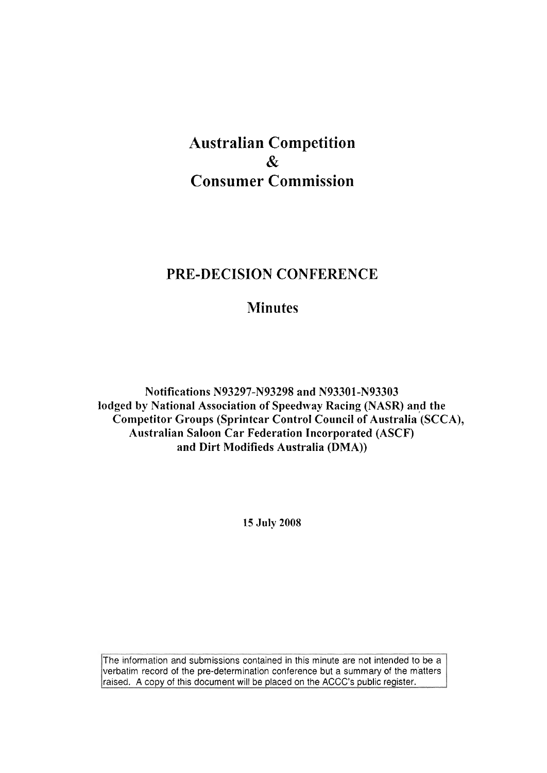# **Australian Competition**  & **Consumer Commission**

# **PRE-DECISION CONFERENCE**

# **Minutes**

**Notifications N93297-N93298 and N93301-N93303 lodged by National Association of Speedway Racing (NASR) and the**  Competitor Groups (Sprintcar Control Council of Australia<sup>'</sup> (SCCA), **Australian Saloon Car Federation Incorporated (ASCF) and Dirt Modifieds Australia (DMA))** 

**15 July 2008** 

The information and submissions contained in this minute are not intended to be a verbatim record of the pre-determination conference but a summary of the matters raised. A copy of this document will be placed on the ACCC's public register.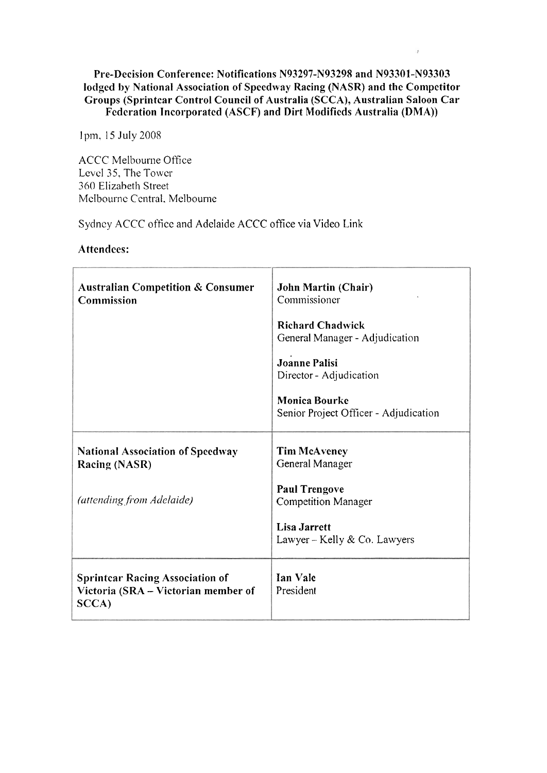#### Pre-Decision Conference: Notifications N93297-N93298 and N93301-N93303 lodged by National Association of Speedway Racing (NASR) and the Competitor Groups (Sprintcar Control Council of Australia (SCCA), Australian Saloon Car Fcdcration Incorporatcd (ASCF) and Dirt Modificds Australia (DMA))

 $\cdot$ 

<sup>1</sup>pm. 15 July 2008

ACCC Melbourne Office Level 35, The Tower 360 Elizabeth Street Mclbournc Ccntral. Melbourne

Sydncy ACCC ofticc and Adelaide ACCC office via Video Link

|  |  | Attendees: |  |
|--|--|------------|--|
|--|--|------------|--|

| <b>Australian Competition &amp; Consumer</b><br>Commission                             | <b>John Martin (Chair)</b><br>Commissioner                    |
|----------------------------------------------------------------------------------------|---------------------------------------------------------------|
|                                                                                        | <b>Richard Chadwick</b><br>General Manager - Adjudication     |
|                                                                                        | <b>Joanne Palisi</b><br>Director - Adjudication               |
|                                                                                        | <b>Monica Bourke</b><br>Senior Project Officer - Adjudication |
| <b>National Association of Speedway</b><br><b>Racing (NASR)</b>                        | <b>Tim McAveney</b><br>General Manager                        |
| (attending from Adelaide)                                                              | <b>Paul Trengove</b><br><b>Competition Manager</b>            |
|                                                                                        | <b>Lisa Jarrett</b><br>Lawyer – Kelly & Co. Lawyers           |
| <b>Sprintcar Racing Association of</b><br>Victoria (SRA - Victorian member of<br>SCCA) | Ian Vale<br>President                                         |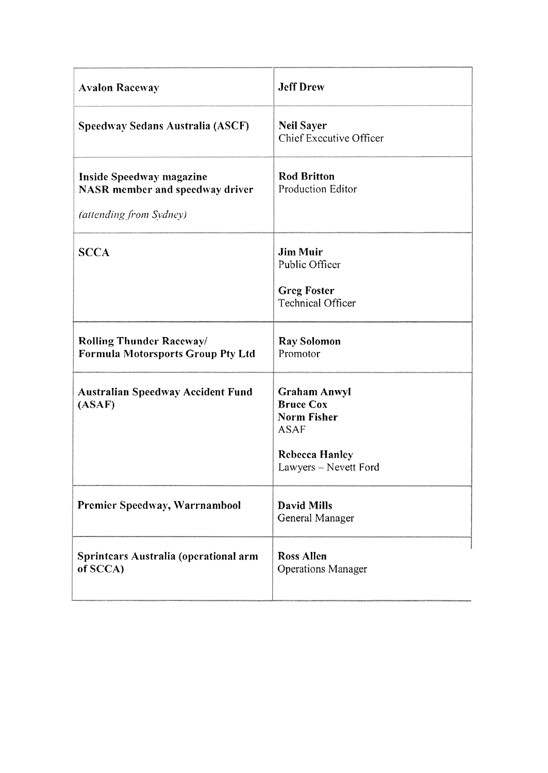| <b>Avalon Raceway</b>                                                                  | <b>Jeff Drew</b>                                                                                                               |
|----------------------------------------------------------------------------------------|--------------------------------------------------------------------------------------------------------------------------------|
| Speedway Sedans Australia (ASCF)                                                       | <b>Neil Sayer</b><br>Chief Executive Officer                                                                                   |
| Inside Speedway magazine<br>NASR member and speedway driver<br>(attending from Sydney) | <b>Rod Britton</b><br>Production Editor                                                                                        |
| <b>SCCA</b>                                                                            | <b>Jim Muir</b><br>Public Officer<br><b>Greg Foster</b><br>Technical Officer                                                   |
| <b>Rolling Thunder Raceway/</b><br><b>Formula Motorsports Group Pty Ltd</b>            | Ray Solomon<br>Promotor                                                                                                        |
| <b>Australian Speedway Accident Fund</b><br>(ASAF)                                     | <b>Graham Anwyl</b><br><b>Bruce Cox</b><br><b>Norm Fisher</b><br><b>ASAF</b><br><b>Rebecca Hanley</b><br>Lawyers - Nevett Ford |
| Premier Speedway, Warrnambool                                                          | <b>David Mills</b><br>General Manager                                                                                          |
| Sprintcars Australia (operational arm<br>of SCCA)                                      | <b>Ross Allen</b><br><b>Operations Manager</b>                                                                                 |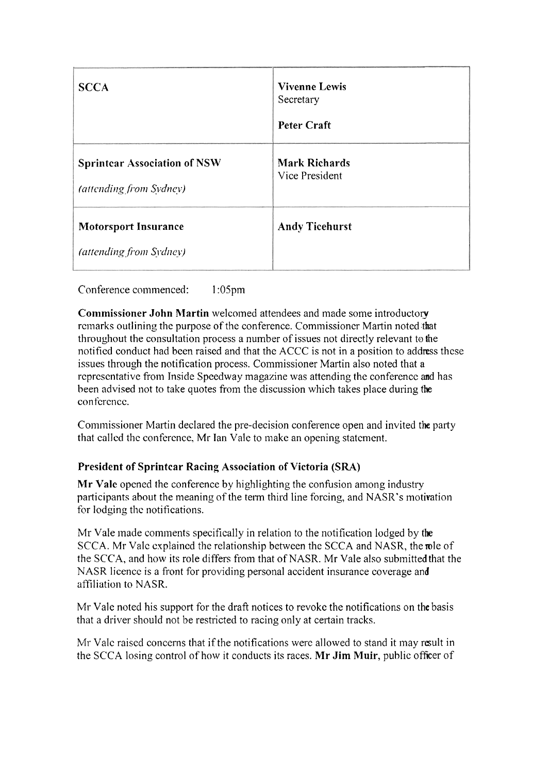| <b>SCCA</b>                                                    | <b>Vivenne Lewis</b><br>Secretary<br><b>Peter Craft</b> |
|----------------------------------------------------------------|---------------------------------------------------------|
| <b>Sprintcar Association of NSW</b><br>(attending from Sydney) | <b>Mark Richards</b><br>Vice President                  |
| <b>Motorsport Insurance</b><br>(attending from Sydney)         | <b>Andy Ticehurst</b>                                   |

Conference commenced: 1 :05pm

**Commissioner John Rlartin** welcomed attendees and made some introductory rcinarks outlining the purpose of the conference. Commissioner Martin noted that throughout the consultation process a number of issues not directly relevant to the notified conduct had been raised and that the ACCC is not in a position to address these issues through the notification process. Commissioner Martin also noted that a representative from Inside Speedway magazine was attending the conference and has been advised not to take quotes from the discussion which takes place during the conference.

Commissioner Martin declared the pre-decision conference open and invited the party that callcd thc conference, Mr Ian Vale to make an opening statement.

# **President of Sprintcar Racing Association of Victoria (SRA)**

Mr Vale opened the conference by highlighting the confusion among industry participants about the meaning of the term third line forcing, and NASR's motivation for lodging the notifications.

Mr Vale made comments specifically in relation to the notification lodged by the SCCA. Mr Valc explained the relationship between the SCCA and NASR, the role of the SCCA, and how its role differs from that of NASR. Mr Vale also submitted that the NASR licence is a front for providing personal accident insurance coverage and affiliation to NASR.

Mr Vale noted his support for the draft notices to revoke the notifications on the basis that a driver should not be restricted to racing only at certain tracks.

Mr Valc raised concerns that if the notifications were allowed to stand it may result in the SCCA losing control of how it conducts its races. **Mr Jim Muir,** public officer of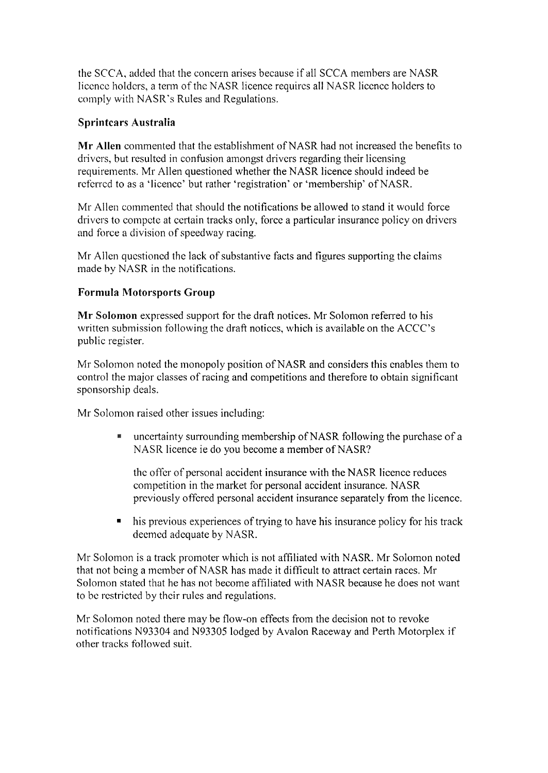the SCCA, added that the concern arises because if all SCCA members are NASR licence holders, a term of the NASR licence requires all NASR licence holders to comply with NASR's Rules and Regulations.

## **Sprin tcars Australia**

**Mr Allen** commented that the establishment of NASR had not increased the benefits to drivcrs, but resultcd in confusion amongst drivers regarding their licensing requirements. Mr Allen questioned whether the NASR licence should indeed be rcferrcd to as a 'licencc' but rather 'registration' or 'membership' of NASR.

Mr Allen commented that should the notifications be allowed to stand it would force drivers to compete at certain tracks only, force a particular insurance policy on drivers and force a division of speedway racing.

Mr Allen qucstioncd the lack of substantive facts and figures supporting the claims made by NASR in the notifications.

#### **Formula Motorsports Group**

**Mr Solomon** expressed support for the draft notices. Mr Solomon referred to his written submission following the draft notices, which is available on the ACCC's public register.

Mr Solomon noted the monopoly position of NASR and considers this enables them to control the major classes of racing and competitions and therefore to obtain significant sponsorship deals.

Mr Solomon raised other issues including:

uncertainty surrounding membership of NASR following the purchase of a NASR licence ie do you become a member of NASR?

thc offer of personal accident insurance with the NASR licence reduces competition in the market for personal accident insurance. NASR previously offcred personal accident insurance separately from the licencc.

his previous experiences of trying to have his insurance policy for his track deemed adequate by NASR.

Mr Solomon is a track promoter which is not affiliated with NASR. Mr Solomon noted that not being a member of NASR has made it difficult to attract certain races. Mr Solomon stated that he has not become affiliated with NASR because he does not want to bc restricted by their rulcs and regulations.

Mr Solomon noted there may be flow-on effects from the decision not to revoke notifications N93304 and N93305 lodged by Avalon Raceway and Perth Motorplex if other tracks followed suit.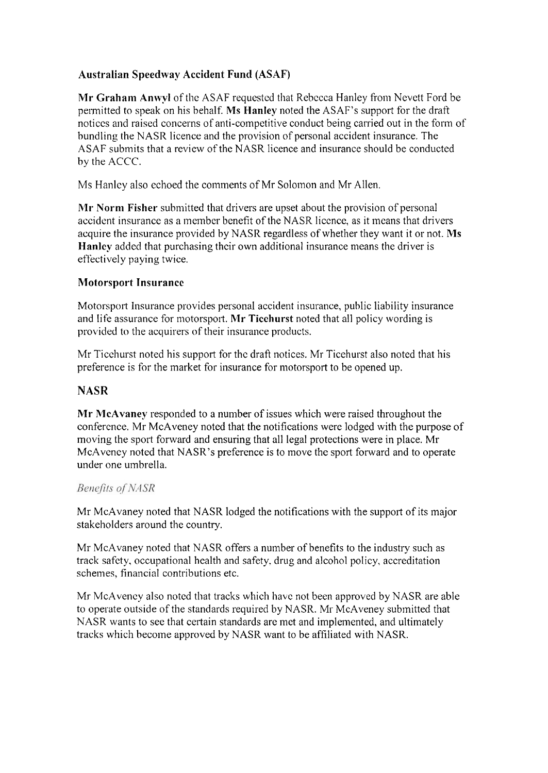# **Australian Speedway Accident Fund (ASAF)**

**Mr Graham Anwyl** of the ASAF requestcd that Rebccca Hanley froni Ncvett Ford be permitted to speak on his behalf. **Ms Hanley** noted the ASAF's support for the draft noticcs and raised concerns of anti-competitive conduct being carried out in the form of bundling the NASR licence and the provision of personal accident insurance. The ASAF submits that a review of the NASR licence and insurance should be conducted by the ACCC.

Ms Hanley also echoed the comments of Mr Solomon and Mr Allen.

**Mr Norm Fisher** submitted that drivers are upset about the provision of personal accident insurance as a member benefit of the NASR licence, as it means that drivers acquire the insurance provided by NASR regardless of whether they want it or not. Ms **Hanley** added that purchasing their own additional insurance means the driver is effectively paying twice.

## **Motorsport Insurance**

Motorsport Insurance provides personal accident insurance, public liability insurance and life assurance for motorsport. Mr Ticehurst noted that all policy wording is provided to the acquirers of their insurance products.

Mr Ticehurst noted his support for the draft notices. Mr Ticehurst also noted that his preference is for the market for insurance for motorsport to be opened up.

#### **NASR**

**Mr McAvaney** responded to a number of issues which were raised throughout the conference. Mr McAveney noted that the notifications were lodged with the purpose of moving the sport forward and ensuring that all legal protections were in place. Mr McAveney noted that NASR's preference is to move the sport forward and to operate under one umbrella.

#### **Benefits of NASR**

Mr McAvaney noted that NASR lodged the notifications with the support of its major stakeholders around the country.

Mr McAvaney noted that NASR offers a number of benefits to the industry such as track safety, occupational health and safety. drug and alcohol policy, accreditation schemes, financial contributions etc.

Mr McAvency also noted that tracks which have not been approved by NASR are able to operate outside of the standards required by NASR. Mr McAveney submitted that NASR wants to see that certain standards are met and implemented, and ultimately tracks which become approved by NASR want to be affiliated with NASR.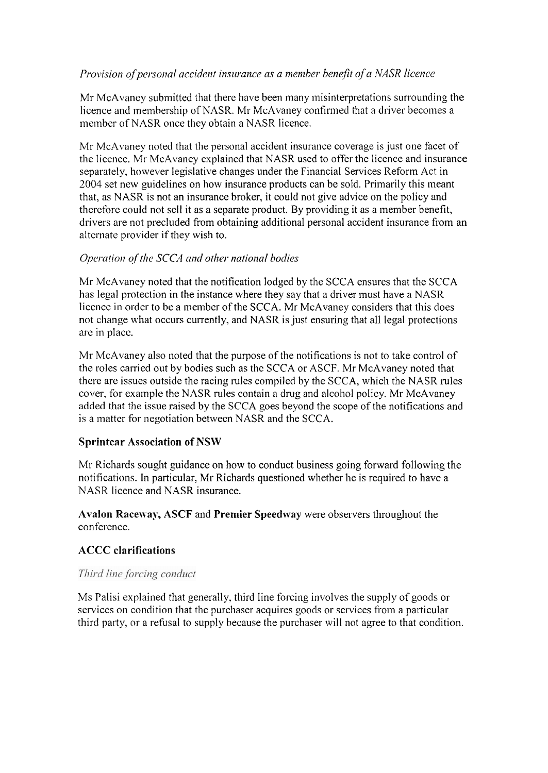# *Provision of personal accident insurance as a member benefit of a NASR licence*

Mr McAvaney submitted that therc have been many misinterpretations surrounding the licence and membership of NASR. Mr McAvaney confirmed that a driver becomes a membcr of NASR oncc they obtain a NASR licence.

Mr McAvaney noted that the personal accident insurance coverage is just one facet of the liccncc. Mr McAvaney explained that NASR used to offer thc licence and insurance separately, however legislative changes under the Financial Services Reform Act in 2004 set new guidelines on how insurance products can be sold. Primarily this meant that, as NASR is not an insurance broker, it could not give advice on the policy and therefore could not sell it as a separate product. By providing it as a member benefit, drivers are not precluded from obtaining additional personal accident insurance from an alternate provider if they wish to.

#### *Operation of the SCCA and other national bodies*

Mr McAvaney noted that the notification lodged by the SCCA cnsurcs that thc SCCA has legal protection in the instance where they say that a driver must have a NASR liccncc in ordcr to be a membcr of the SCCA. Mr McAvaney considers that this does not change what occurs currently, and NASR is just ensuring that all legal protections arc in placc.

Mr McAvaney also noted that the purpose of the notifications is not to take control of the roles carried out by bodies such as thc SCCA or ASCF. Mr McAvaney noted that there are issues outside the racing rules compiled by the SCCA, which the NASR rules cover, for example the NASR rules contain a drug and alcohol policy. Mr McAvaney added that the issue raised by the SCCA goes beyond the scope of the notifications and is a matter for negotiation between NASR and the SCCA.

#### **Sprintcar Association of NSW**

Mr Richards sought guidance on how to conduct business going forward following the notifications. In particular, Mr Richards questioned whether he is required to have a NASR licence and NASR insurance.

**Avalon Raceway, ASCF** and **Premier Speedway** were observers throughout the conference.

# **ACCC clarifications**

#### Third line forcing conduct

Ms Palisi explained that generally, third line forcing involves the supply of goods or services on condition that thc purchaser acquires goods or services from a particular third party, or a refusal to supply because the purchaser will not agree to that condition.